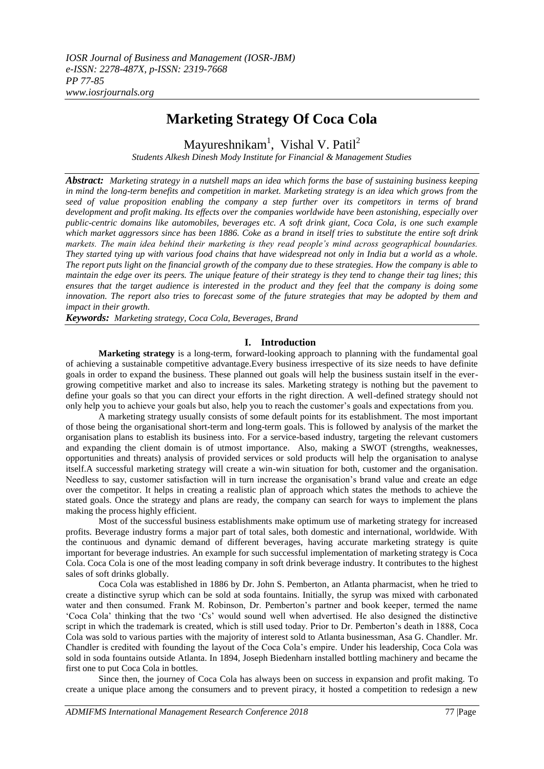# **Marketing Strategy Of Coca Cola**

Mayureshnikam<sup>1</sup>, Vishal V. Patil<sup>2</sup> *Students Alkesh Dinesh Mody Institute for Financial & Management Studies*

*Abstract: Marketing strategy in a nutshell maps an idea which forms the base of sustaining business keeping in mind the long-term benefits and competition in market. Marketing strategy is an idea which grows from the seed of value proposition enabling the company a step further over its competitors in terms of brand development and profit making. Its effects over the companies worldwide have been astonishing, especially over public-centric domains like automobiles, beverages etc. A soft drink giant, Coca Cola, is one such example which market aggressors since has been 1886. Coke as a brand in itself tries to substitute the entire soft drink markets. The main idea behind their marketing is they read people's mind across geographical boundaries. They started tying up with various food chains that have widespread not only in India but a world as a whole. The report puts light on the financial growth of the company due to these strategies. How the company is able to maintain the edge over its peers. The unique feature of their strategy is they tend to change their tag lines; this ensures that the target audience is interested in the product and they feel that the company is doing some innovation. The report also tries to forecast some of the future strategies that may be adopted by them and impact in their growth.*

*Keywords: Marketing strategy, Coca Cola, Beverages, Brand*

## **I. Introduction**

**Marketing strategy** is a long-term, forward-looking approach to planning with the fundamental goal of achieving a sustainable [competitive advantage.](https://en.wikipedia.org/wiki/Competitive_advantage)Every business irrespective of its size needs to have definite goals in order to expand the business. These planned out goals will help the business sustain itself in the evergrowing competitive market and also to increase its sales. Marketing strategy is nothing but the pavement to define your goals so that you can direct your efforts in the right direction. A well-defined strategy should not only help you to achieve your goals but also, help you to reach the customer"s goals and expectations from you.

A marketing strategy usually consists of some default points for its establishment. The most important of those being the organisational short-term and long-term goals. This is followed by analysis of the market the organisation plans to establish its business into. For a service-based industry, targeting the relevant customers and expanding the client domain is of utmost importance. Also, making a SWOT (strengths, weaknesses, opportunities and threats) analysis of provided services or sold products will help the organisation to analyse itself.A successful marketing strategy will create a win-win situation for both, customer and the organisation. Needless to say, customer satisfaction will in turn increase the organisation"s brand value and create an edge over the competitor. It helps in creating a realistic plan of approach which states the methods to achieve the stated goals. Once the strategy and plans are ready, the company can search for ways to implement the plans making the process highly efficient.

Most of the successful business establishments make optimum use of marketing strategy for increased profits. Beverage industry forms a major part of total sales, both domestic and international, worldwide. With the continuous and dynamic demand of different beverages, having accurate marketing strategy is quite important for beverage industries. An example for such successful implementation of marketing strategy is Coca Cola. Coca Cola is one of the most leading company in soft drink beverage industry. It contributes to the highest sales of soft drinks globally.

Coca Cola was established in 1886 by Dr. John S. Pemberton, an Atlanta pharmacist, when he tried to create a distinctive syrup which can be sold at soda fountains. Initially, the syrup was mixed with carbonated water and then consumed. Frank M. Robinson, Dr. Pemberton's partner and book keeper, termed the name "Coca Cola" thinking that the two "Cs" would sound well when advertised. He also designed the distinctive script in which the trademark is created, which is still used today. Prior to Dr. Pemberton"s death in 1888, Coca Cola was sold to various parties with the majority of interest sold to Atlanta businessman, Asa G. Chandler. Mr. Chandler is credited with founding the layout of the Coca Cola"s empire. Under his leadership, Coca Cola was sold in soda fountains outside Atlanta. In 1894, Joseph Biedenharn installed bottling machinery and became the first one to put Coca Cola in bottles.

Since then, the journey of Coca Cola has always been on success in expansion and profit making. To create a unique place among the consumers and to prevent piracy, it hosted a competition to redesign a new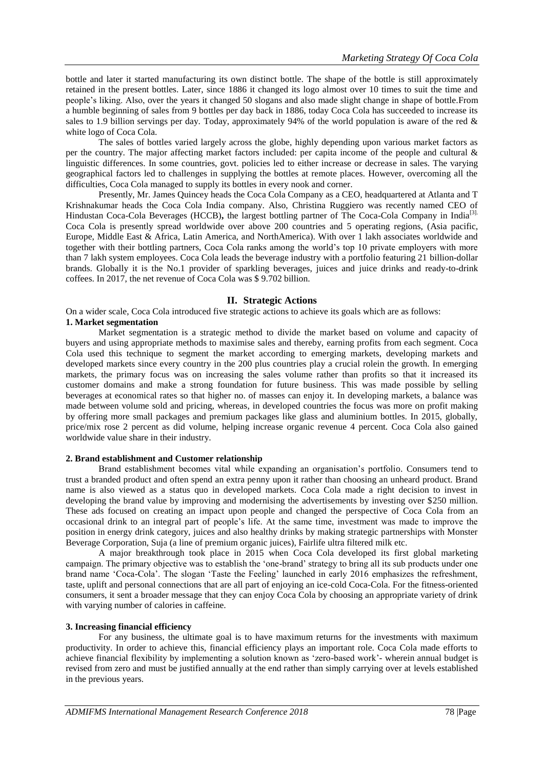bottle and later it started manufacturing its own distinct bottle. The shape of the bottle is still approximately retained in the present bottles. Later, since 1886 it changed its logo almost over 10 times to suit the time and people"s liking. Also, over the years it changed 50 slogans and also made slight change in shape of bottle.From a humble beginning of sales from 9 bottles per day back in 1886, today Coca Cola has succeeded to increase its sales to 1.9 billion servings per day. Today, approximately 94% of the world population is aware of the red & white logo of Coca Cola.

The sales of bottles varied largely across the globe, highly depending upon various market factors as per the country. The major affecting market factors included: per capita income of the people and cultural & linguistic differences. In some countries, govt. policies led to either increase or decrease in sales. The varying geographical factors led to challenges in supplying the bottles at remote places. However, overcoming all the difficulties, Coca Cola managed to supply its bottles in every nook and corner.

Presently, Mr. James Quincey heads the Coca Cola Company as a CEO, headquartered at Atlanta and T Krishnakumar heads the Coca Cola India company. Also, Christina Ruggiero was recently named CEO of Hindustan Coca-Cola Beverages (HCCB), the largest bottling partner of The Coca-Cola Company in India<sup>[3].</sup> Coca Cola is presently spread worldwide over above 200 countries and 5 operating regions, (Asia pacific, Europe, Middle East & Africa, Latin America, and NorthAmerica). With over 1 lakh associates worldwide and together with their bottling partners, Coca Cola ranks among the world"s top 10 private employers with more than 7 lakh system employees. Coca Cola leads the beverage industry with a portfolio featuring 21 billion-dollar brands. Globally it is the No.1 provider of sparkling beverages, juices and juice drinks and ready-to-drink coffees. In 2017, the net revenue of Coca Cola was \$ 9.702 billion.

#### **II. Strategic Actions**

On a wider scale, Coca Cola introduced five strategic actions to achieve its goals which are as follows: **1. Market segmentation**

Market segmentation is a strategic method to divide the market based on volume and capacity of buyers and using appropriate methods to maximise sales and thereby, earning profits from each segment. Coca Cola used this technique to segment the market according to emerging markets, developing markets and developed markets since every country in the 200 plus countries play a crucial rolein the growth. In emerging markets, the primary focus was on increasing the sales volume rather than profits so that it increased its customer domains and make a strong foundation for future business. This was made possible by selling beverages at economical rates so that higher no. of masses can enjoy it. In developing markets, a balance was made between volume sold and pricing, whereas, in developed countries the focus was more on profit making by offering more small packages and premium packages like glass and aluminium bottles. In 2015, globally, price/mix rose 2 percent as did volume, helping increase organic revenue 4 percent. Coca Cola also gained worldwide value share in their industry.

#### **2. Brand establishment and Customer relationship**

Brand establishment becomes vital while expanding an organisation"s portfolio. Consumers tend to trust a branded product and often spend an extra penny upon it rather than choosing an unheard product. Brand name is also viewed as a status quo in developed markets. Coca Cola made a right decision to invest in developing the brand value by improving and modernising the advertisements by investing over \$250 million. These ads focused on creating an impact upon people and changed the perspective of Coca Cola from an occasional drink to an integral part of people"s life. At the same time, investment was made to improve the position in energy drink category, juices and also healthy drinks by making strategic partnerships with Monster Beverage Corporation, Suja (a line of premium organic juices), Fairlife ultra filtered milk etc.

A major breakthrough took place in 2015 when Coca Cola developed its first global marketing campaign. The primary objective was to establish the "one-brand" strategy to bring all its sub products under one brand name "Coca-Cola". The slogan "Taste the Feeling" launched in early 2016 emphasizes the refreshment, taste, uplift and personal connections that are all part of enjoying an ice-cold Coca-Cola. For the fitness-oriented consumers, it sent a broader message that they can enjoy Coca Cola by choosing an appropriate variety of drink with varying number of calories in caffeine.

#### **3. Increasing financial efficiency**

For any business, the ultimate goal is to have maximum returns for the investments with maximum productivity. In order to achieve this, financial efficiency plays an important role. Coca Cola made efforts to achieve financial flexibility by implementing a solution known as "zero-based work"- wherein annual budget is revised from zero and must be justified annually at the end rather than simply carrying over at levels established in the previous years.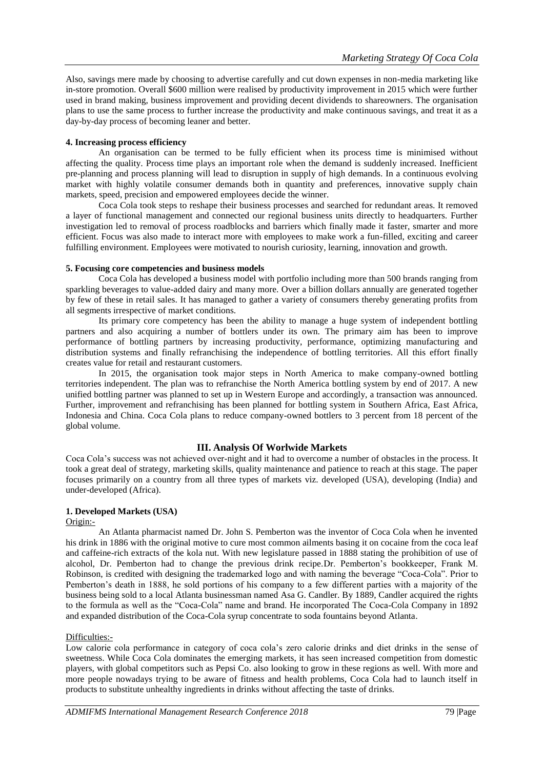Also, savings mere made by choosing to advertise carefully and cut down expenses in non-media marketing like in-store promotion. Overall \$600 million were realised by productivity improvement in 2015 which were further used in brand making, business improvement and providing decent dividends to shareowners. The organisation plans to use the same process to further increase the productivity and make continuous savings, and treat it as a day-by-day process of becoming leaner and better.

### **4. Increasing process efficiency**

An organisation can be termed to be fully efficient when its process time is minimised without affecting the quality. Process time plays an important role when the demand is suddenly increased. Inefficient pre-planning and process planning will lead to disruption in supply of high demands. In a continuous evolving market with highly volatile consumer demands both in quantity and preferences, innovative supply chain markets, speed, precision and empowered employees decide the winner.

Coca Cola took steps to reshape their business processes and searched for redundant areas. It removed a layer of functional management and connected our regional business units directly to headquarters. Further investigation led to removal of process roadblocks and barriers which finally made it faster, smarter and more efficient. Focus was also made to interact more with employees to make work a fun-filled, exciting and career fulfilling environment. Employees were motivated to nourish curiosity, learning, innovation and growth.

#### **5. Focusing core competencies and business models**

Coca Cola has developed a business model with portfolio including more than 500 brands ranging from sparkling beverages to value-added dairy and many more. Over a billion dollars annually are generated together by few of these in retail sales. It has managed to gather a variety of consumers thereby generating profits from all segments irrespective of market conditions.

Its primary core competency has been the ability to manage a huge system of independent bottling partners and also acquiring a number of bottlers under its own. The primary aim has been to improve performance of bottling partners by increasing productivity, performance, optimizing manufacturing and distribution systems and finally refranchising the independence of bottling territories. All this effort finally creates value for retail and restaurant customers.

In 2015, the organisation took major steps in North America to make company-owned bottling territories independent. The plan was to refranchise the North America bottling system by end of 2017. A new unified bottling partner was planned to set up in Western Europe and accordingly, a transaction was announced. Further, improvement and refranchising has been planned for bottling system in Southern Africa, East Africa, Indonesia and China. Coca Cola plans to reduce company-owned bottlers to 3 percent from 18 percent of the global volume.

## **III. Analysis Of Worlwide Markets**

Coca Cola"s success was not achieved over-night and it had to overcome a number of obstacles in the process. It took a great deal of strategy, marketing skills, quality maintenance and patience to reach at this stage. The paper focuses primarily on a country from all three types of markets viz. developed (USA), developing (India) and under-developed (Africa).

#### **1. Developed Markets (USA)** Origin:-

An Atlanta pharmacist named Dr. John S. Pemberton was the inventor of Coca Cola when he invented his drink in 1886 with the original motive to cure most common ailments basing it on cocaine from the coca leaf and caffeine-rich extracts of the kola nut. With new legislature passed in 1888 stating the prohibition of use of alcohol, Dr. Pemberton had to change the previous drink recipe.Dr. Pemberton"s bookkeeper, Frank M. Robinson, is credited with designing the trademarked logo and with naming the beverage "Coca-Cola". Prior to Pemberton's death in 1888, he sold portions of his company to a few different parties with a majority of the business being sold to a local Atlanta businessman named Asa G. Candler. By 1889, Candler acquired the rights to the formula as well as the "Coca-Cola" name and brand. He incorporated The Coca-Cola Company in 1892 and expanded distribution of the Coca-Cola syrup concentrate to soda fountains beyond Atlanta.

#### Difficulties:-

Low calorie cola performance in category of coca cola"s zero calorie drinks and diet drinks in the sense of sweetness. While Coca Cola dominates the emerging markets, it has seen increased competition from domestic players, with global competitors such as Pepsi Co. also looking to grow in these regions as well. With more and more people nowadays trying to be aware of fitness and health problems, Coca Cola had to launch itself in products to substitute unhealthy ingredients in drinks without affecting the taste of drinks.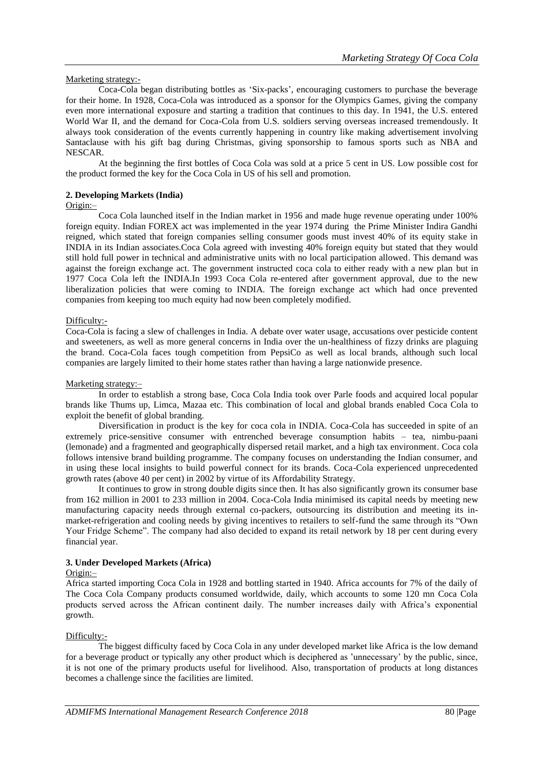### Marketing strategy:-

Coca-Cola began distributing bottles as "Six-packs", encouraging customers to purchase the beverage for their home. In 1928, Coca-Cola was introduced as a sponsor for the Olympics Games, giving the company even more international exposure and starting a tradition that continues to this day. In 1941, the U.S. entered World War II, and the demand for Coca-Cola from U.S. soldiers serving overseas increased tremendously. It always took consideration of the events currently happening in country like making advertisement involving Santaclause with his gift bag during Christmas, giving sponsorship to famous sports such as NBA and NESCAR.

At the beginning the first bottles of Coca Cola was sold at a price 5 cent in US. Low possible cost for the product formed the key for the Coca Cola in US of his sell and promotion.

## **2. Developing Markets (India)**

#### Origin:–

Coca Cola launched itself in the Indian market in 1956 and made huge revenue operating under 100% foreign equity. Indian FOREX act was implemented in the year 1974 during the Prime Minister Indira Gandhi reigned, which stated that foreign companies selling consumer goods must invest 40% of its equity stake in INDIA in its Indian associates.Coca Cola agreed with investing 40% foreign equity but stated that they would still hold full power in technical and administrative units with no local participation allowed. This demand was against the foreign exchange act. The government instructed coca cola to either ready with a new plan but in 1977 Coca Cola left the INDIA.In 1993 Coca Cola re-entered after government approval, due to the new liberalization policies that were coming to INDIA. The foreign exchange act which had once prevented companies from keeping too much equity had now been completely modified.

#### Difficulty:-

Coca-Cola is facing a slew of challenges in India. A debate over water usage, accusations over pesticide content and sweeteners, as well as more general concerns in India over the un-healthiness of fizzy drinks are plaguing the brand. Coca-Cola faces tough competition from PepsiCo as well as local brands, although such local companies are largely limited to their home states rather than having a large nationwide presence.

#### Marketing strategy:-

In order to establish a strong base, Coca Cola India took over Parle foods and acquired local popular brands like Thums up, Limca, Mazaa etc. This combination of local and global brands enabled Coca Cola to exploit the benefit of global branding.

Diversification in product is the key for coca cola in INDIA. Coca-Cola has succeeded in spite of an extremely price-sensitive consumer with entrenched beverage consumption habits – tea, nimbu-paani (lemonade) and a fragmented and geographically dispersed retail market, and a high tax environment. Coca cola follows intensive brand building programme. The company focuses on understanding the Indian consumer, and in using these local insights to build powerful connect for its brands. Coca-Cola experienced unprecedented growth rates (above 40 per cent) in 2002 by virtue of its Affordability Strategy.

It continues to grow in strong double digits since then. It has also significantly grown its consumer base from 162 million in 2001 to 233 million in 2004. Coca-Cola India minimised its capital needs by meeting new manufacturing capacity needs through external co-packers, outsourcing its distribution and meeting its inmarket-refrigeration and cooling needs by giving incentives to retailers to self-fund the same through its "Own Your Fridge Scheme". The company had also decided to expand its retail network by 18 per cent during every financial year.

#### **3. Under Developed Markets (Africa)**

#### Origin:–

Africa started importing Coca Cola in 1928 and bottling started in 1940. Africa accounts for 7% of the daily of The Coca Cola Company products consumed worldwide, daily, which accounts to some 120 mn Coca Cola products served across the African continent daily. The number increases daily with Africa"s exponential growth.

## Difficulty:-

The biggest difficulty faced by Coca Cola in any under developed market like Africa is the low demand for a beverage product or typically any other product which is deciphered as "unnecessary" by the public, since, it is not one of the primary products useful for livelihood. Also, transportation of products at long distances becomes a challenge since the facilities are limited.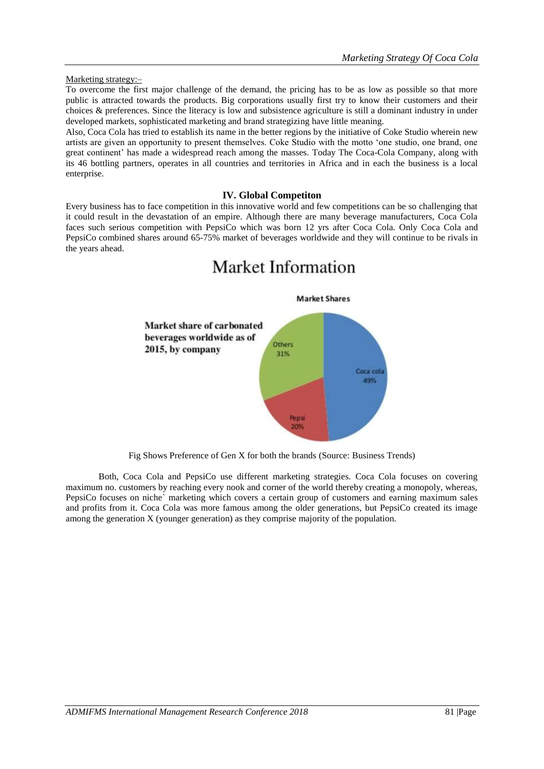### Marketing strategy:–

To overcome the first major challenge of the demand, the pricing has to be as low as possible so that more public is attracted towards the products. Big corporations usually first try to know their customers and their choices & preferences. Since the literacy is low and subsistence agriculture is still a dominant industry in under developed markets, sophisticated marketing and brand strategizing have little meaning.

Also, Coca Cola has tried to establish its name in the better regions by the initiative of Coke Studio wherein new artists are given an opportunity to present themselves. Coke Studio with the motto "one studio, one brand, one great continent" has made a widespread reach among the masses. Today The Coca-Cola Company, along with its 46 bottling partners, operates in all countries and territories in Africa and in each the business is a local enterprise.

# **IV. Global Competiton**

Every business has to face competition in this innovative world and few competitions can be so challenging that it could result in the devastation of an empire. Although there are many beverage manufacturers, Coca Cola faces such serious competition with PepsiCo which was born 12 yrs after Coca Cola. Only Coca Cola and PepsiCo combined shares around 65-75% market of beverages worldwide and they will continue to be rivals in the years ahead.

Market Information

# **Market Shares** Market share of carbonated beverages worldwide as of Others 2015, by company 31% Coca cola 49%

Fig Shows Preference of Gen X for both the brands (Source: Business Trends)

Pepsi 20%

Both, Coca Cola and PepsiCo use different marketing strategies. Coca Cola focuses on covering maximum no. customers by reaching every nook and corner of the world thereby creating a monopoly, whereas, PepsiCo focuses on niche` marketing which covers a certain group of customers and earning maximum sales and profits from it. Coca Cola was more famous among the older generations, but PepsiCo created its image among the generation X (younger generation) as they comprise majority of the population.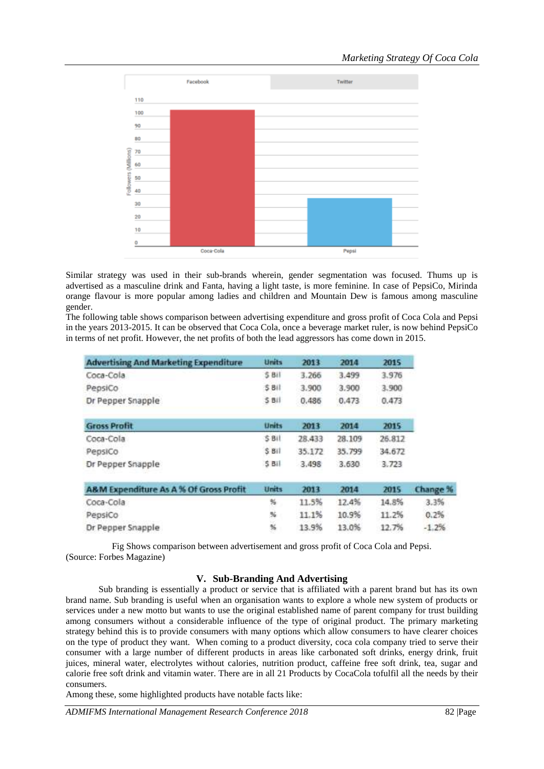

Similar strategy was used in their sub-brands wherein, gender segmentation was focused. Thums up is advertised as a masculine drink and Fanta, having a light taste, is more feminine. In case of PepsiCo, Mirinda orange flavour is more popular among ladies and children and Mountain Dew is famous among masculine gender.

The following table shows comparison between advertising expenditure and gross profit of Coca Cola and Pepsi in the years 2013-2015. It can be observed that Coca Cola, once a beverage market ruler, is now behind PepsiCo in terms of net profit. However, the net profits of both the lead aggressors has come down in 2015.

| <b>Advertising And Marketing Expenditure</b> | Units           | 2013           | 2014           | 2015           |         |
|----------------------------------------------|-----------------|----------------|----------------|----------------|---------|
| Coca-Cola                                    | 5BII            | 3.266          | 3.499          | 3.976          |         |
| PepsiCo<br>Dr Pepper Snapple                 | \$BII<br>5BII   | 3.900<br>0.486 | 3.900<br>0.473 | 3.900<br>0.473 |         |
|                                              |                 |                |                |                |         |
| <b>Gross Profit</b>                          | Units           | 2013           | 2014           | 2015           |         |
| Coca-Cola                                    | S Bil           | 28.433         | 28.109         | 26.812         |         |
| PepsiCo                                      | 5BII            | 35.172         | 35.799         | 34.672         |         |
| Dr Pepper Snapple                            | 5 <sub>Bi</sub> | 3.498          | 3.630          | 3.723          |         |
| A&M Expenditure As A % Of Gross Profit       | <b>Units</b>    | 2013           | 2014           | 2015           | Change  |
| Coca-Cola                                    | 骀               | 11.5%          | 12.4%          | 14.8%          | 3.3%    |
| PepsiCo                                      | 脂               | 11.1%          | 10.9%          | 11.2%          | 0.2%    |
| Dr Pepper Snapple                            | 96              | 13.9%          | 13.0%          | 12.7%          | $-1.2%$ |

Fig Shows comparison between advertisement and gross profit of Coca Cola and Pepsi. (Source: Forbes Magazine)

## **V. Sub-Branding And Advertising**

Sub branding is essentially a product or service that is affiliated with a parent brand but has its own brand name. Sub branding is useful when an organisation wants to explore a whole new system of products or services under a new motto but wants to use the original established name of parent company for trust building among consumers without a considerable influence of the type of original product. The primary marketing strategy behind this is to provide consumers with many options which allow consumers to have clearer choices on the type of product they want. When coming to a product diversity, coca cola company tried to serve their consumer with a large number of different products in areas like carbonated soft drinks, energy drink, fruit juices, mineral water, electrolytes without calories, nutrition product, caffeine free soft drink, tea, sugar and calorie free soft drink and vitamin water. There are in all 21 Products by CocaCola tofulfil all the needs by their consumers.

Among these, some highlighted products have notable facts like: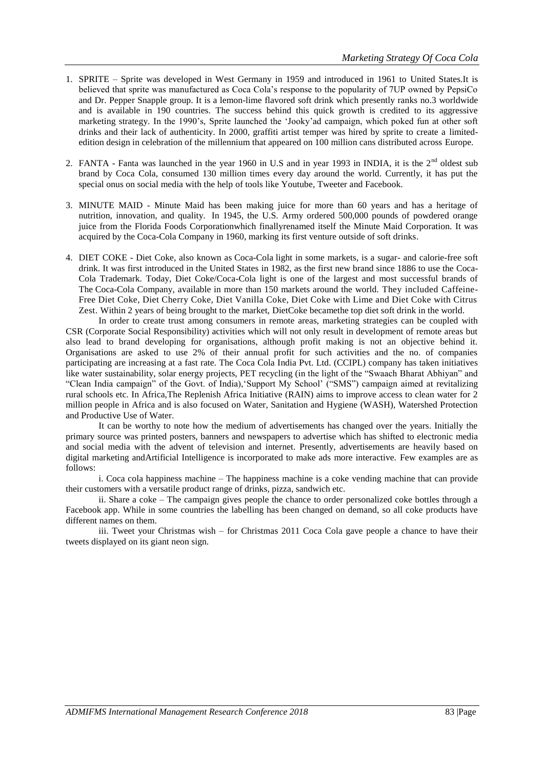- 1. SPRITE Sprite was developed in West Germany in 1959 and introduced in 1961 to United States.It is believed that sprite was manufactured as Coca Cola"s response to the popularity of 7UP owned by PepsiCo and Dr. Pepper Snapple group. It is a lemon-lime flavored soft drink which presently ranks no.3 worldwide and is available in 190 countries. The success behind this quick growth is credited to its aggressive marketing strategy. In the 1990"s, Sprite launched the "Jooky"ad campaign, which poked fun at other soft drinks and their lack of authenticity. In 2000, graffiti artist temper was hired by sprite to create a limitededition design in celebration of the millennium that appeared on 100 million cans distributed across Europe.
- 2. FANTA Fanta was launched in the year 1960 in U.S and in year 1993 in INDIA, it is the  $2<sup>nd</sup>$  oldest sub brand by Coca Cola, consumed 130 million times every day around the world. Currently, it has put the special onus on social media with the help of tools like Youtube, Tweeter and Facebook.
- 3. MINUTE MAID Minute Maid has been making juice for more than 60 years and has a heritage of nutrition, innovation, and quality. In 1945, the U.S. Army ordered 500,000 pounds of powdered orange juice from the Florida Foods Corporationwhich finallyrenamed itself the Minute Maid Corporation. It was acquired by the Coca-Cola Company in 1960, marking its first venture outside of soft drinks.
- 4. DIET COKE Diet Coke, also known as Coca-Cola light in some markets, is a sugar- and calorie-free soft drink. It was first introduced in the United States in 1982, as the first new brand since 1886 to use the Coca-Cola Trademark. Today, Diet Coke/Coca-Cola light is one of the largest and most successful brands of The Coca-Cola Company, available in more than 150 markets around the world. They included Caffeine-Free Diet Coke, Diet Cherry Coke, Diet Vanilla Coke, Diet Coke with Lime and Diet Coke with Citrus Zest. Within 2 years of being brought to the market, DietCoke becamethe top diet soft drink in the world.

In order to create trust among consumers in remote areas, marketing strategies can be coupled with CSR (Corporate Social Responsibility) activities which will not only result in development of remote areas but also lead to brand developing for organisations, although profit making is not an objective behind it. Organisations are asked to use 2% of their annual profit for such activities and the no. of companies participating are increasing at a fast rate. The Coca Cola India Pvt. Ltd. (CCIPL) company has taken initiatives like water sustainability, solar energy projects, PET recycling (in the light of the "Swaach Bharat Abhiyan" and "Clean India campaign" of the Govt. of India),"Support My School" ("SMS") campaign aimed at revitalizing rural schools etc. In Africa,The Replenish Africa Initiative (RAIN) aims to improve access to clean water for 2 million people in Africa and is also focused on Water, Sanitation and Hygiene (WASH), Watershed Protection and Productive Use of Water.

It can be worthy to note how the medium of advertisements has changed over the years. Initially the primary source was printed posters, banners and newspapers to advertise which has shifted to electronic media and social media with the advent of television and internet. Presently, advertisements are heavily based on digital marketing andArtificial Intelligence is incorporated to make ads more interactive. Few examples are as follows:

i. Coca cola happiness machine – The happiness machine is a coke vending machine that can provide their customers with a versatile product range of drinks, pizza, sandwich etc.

ii. Share a coke – The campaign gives people the chance to order personalized coke bottles through a Facebook app. While in some countries the labelling has been changed on demand, so all coke products have different names on them.

iii. Tweet your Christmas wish – for Christmas 2011 Coca Cola gave people a chance to have their tweets displayed on its giant neon sign.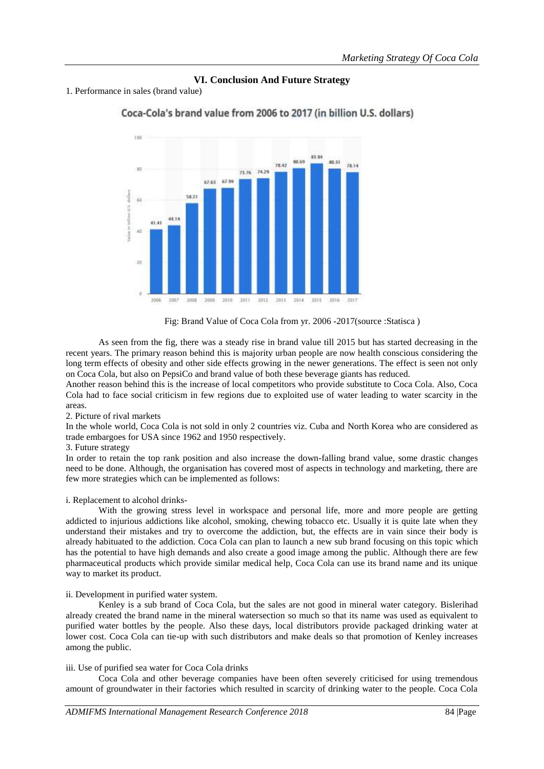# **VI. Conclusion And Future Strategy**

1. Performance in sales (brand value)



Coca-Cola's brand value from 2006 to 2017 (in billion U.S. dollars)

As seen from the fig, there was a steady rise in brand value till 2015 but has started decreasing in the recent years. The primary reason behind this is majority urban people are now health conscious considering the long term effects of obesity and other side effects growing in the newer generations. The effect is seen not only on Coca Cola, but also on PepsiCo and brand value of both these beverage giants has reduced.

Another reason behind this is the increase of local competitors who provide substitute to Coca Cola. Also, Coca Cola had to face social criticism in few regions due to exploited use of water leading to water scarcity in the areas.

## 2. Picture of rival markets

In the whole world, Coca Cola is not sold in only 2 countries viz. Cuba and North Korea who are considered as trade embargoes for USA since 1962 and 1950 respectively.

#### 3. Future strategy

In order to retain the top rank position and also increase the down-falling brand value, some drastic changes need to be done. Although, the organisation has covered most of aspects in technology and marketing, there are few more strategies which can be implemented as follows:

#### i. Replacement to alcohol drinks-

With the growing stress level in workspace and personal life, more and more people are getting addicted to injurious addictions like alcohol, smoking, chewing tobacco etc. Usually it is quite late when they understand their mistakes and try to overcome the addiction, but, the effects are in vain since their body is already habituated to the addiction. Coca Cola can plan to launch a new sub brand focusing on this topic which has the potential to have high demands and also create a good image among the public. Although there are few pharmaceutical products which provide similar medical help, Coca Cola can use its brand name and its unique way to market its product.

#### ii. Development in purified water system.

Kenley is a sub brand of Coca Cola, but the sales are not good in mineral water category. Bislerihad already created the brand name in the mineral watersection so much so that its name was used as equivalent to purified water bottles by the people. Also these days, local distributors provide packaged drinking water at lower cost. Coca Cola can tie-up with such distributors and make deals so that promotion of Kenley increases among the public.

#### iii. Use of purified sea water for Coca Cola drinks

Coca Cola and other beverage companies have been often severely criticised for using tremendous amount of groundwater in their factories which resulted in scarcity of drinking water to the people. Coca Cola

Fig: Brand Value of Coca Cola from yr. 2006 -2017(source :Statisca )